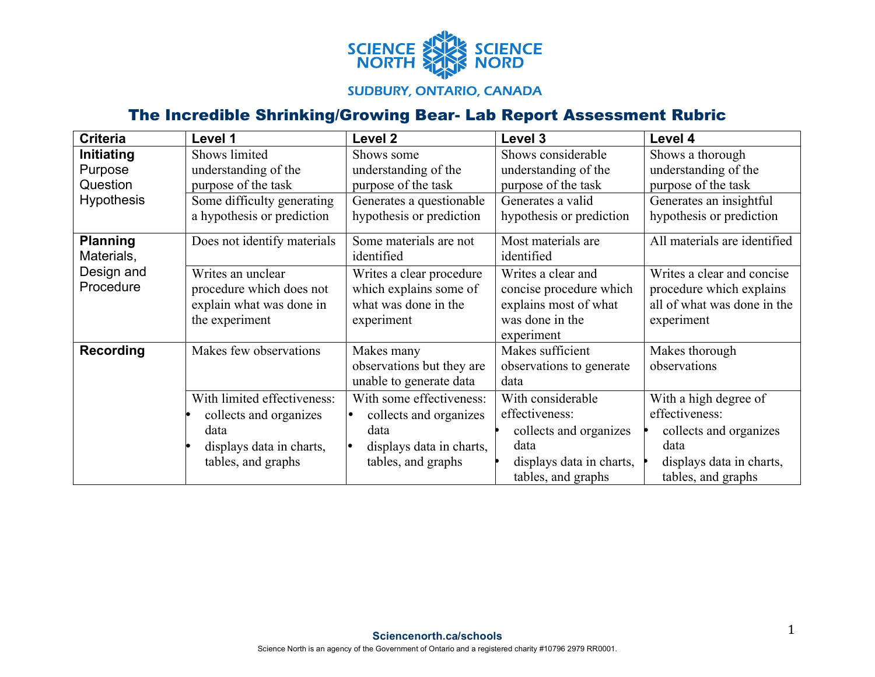

## **SUDBURY, ONTARIO, CANADA**

## The Incredible Shrinking/Growing Bear- Lab Report Assessment Rubric

| <b>Criteria</b>   | Level 1                     | Level <sub>2</sub>                  | Level 3                  | Level 4                      |
|-------------------|-----------------------------|-------------------------------------|--------------------------|------------------------------|
| Initiating        | Shows limited               | Shows some                          | Shows considerable       | Shows a thorough             |
| Purpose           | understanding of the        | understanding of the                | understanding of the     | understanding of the         |
| Question          | purpose of the task         | purpose of the task                 | purpose of the task      | purpose of the task          |
| <b>Hypothesis</b> | Some difficulty generating  | Generates a questionable            | Generates a valid        | Generates an insightful      |
|                   | a hypothesis or prediction  | hypothesis or prediction            | hypothesis or prediction | hypothesis or prediction     |
| <b>Planning</b>   | Does not identify materials | Some materials are not              | Most materials are       | All materials are identified |
| Materials,        |                             | identified                          | identified               |                              |
| Design and        | Writes an unclear           | Writes a clear procedure            | Writes a clear and       | Writes a clear and concise   |
| Procedure         | procedure which does not    | which explains some of              | concise procedure which  | procedure which explains     |
|                   | explain what was done in    | what was done in the                | explains most of what    | all of what was done in the  |
|                   | the experiment              | experiment                          | was done in the          | experiment                   |
|                   |                             |                                     | experiment               |                              |
| Recording         | Makes few observations      | Makes many                          | Makes sufficient         | Makes thorough               |
|                   |                             | observations but they are           | observations to generate | observations                 |
|                   |                             | unable to generate data             | data                     |                              |
|                   | With limited effectiveness: | With some effectiveness:            | With considerable        | With a high degree of        |
|                   | collects and organizes      | collects and organizes<br>$\bullet$ | effectiveness:           | effectiveness:               |
|                   | data                        | data                                | collects and organizes   | collects and organizes       |
|                   | displays data in charts,    | displays data in charts,<br>١o      | data                     | data                         |
|                   | tables, and graphs          | tables, and graphs                  | displays data in charts, | displays data in charts,     |
|                   |                             |                                     | tables, and graphs       | tables, and graphs           |